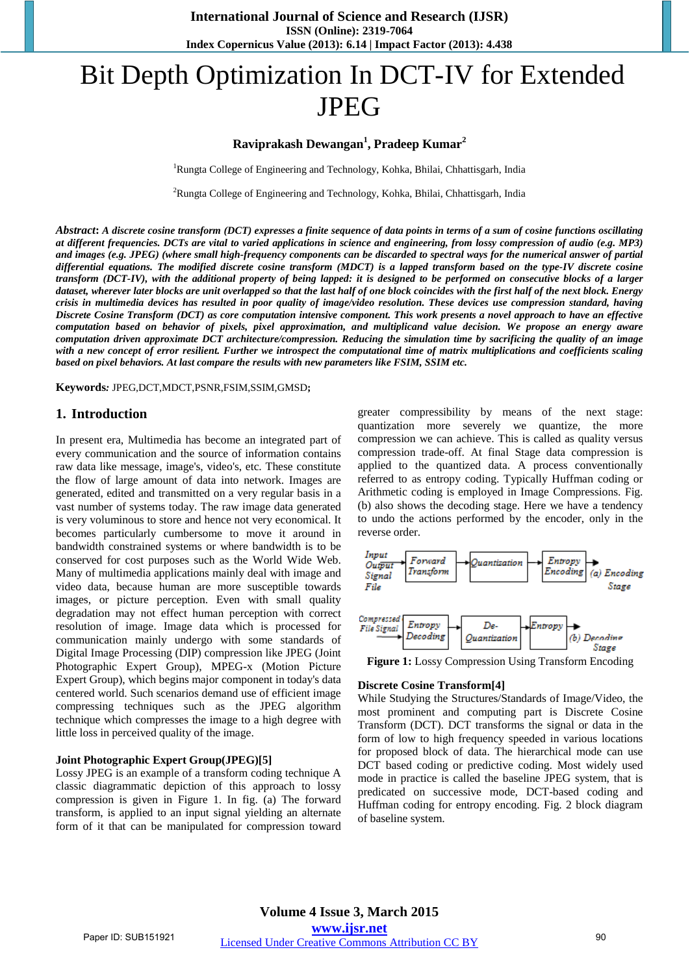# Bit Depth Optimization In DCT-IV for Extended JPEG

## **Raviprakash Dewangan<sup>1</sup> , Pradeep Kumar<sup>2</sup>**

<sup>1</sup>Rungta College of Engineering and Technology, Kohka, Bhilai, Chhattisgarh, India

<sup>2</sup>Rungta College of Engineering and Technology, Kohka, Bhilai, Chhattisgarh, India

*Abstract***:** *A discrete cosine transform (DCT) expresses a finite sequence of data points in terms of a sum of cosine functions oscillating at different frequencies. DCTs are vital to varied applications in science and engineering, from lossy compression of audio (e.g. MP3) and images (e.g. JPEG) (where small high-frequency components can be discarded to spectral ways for the numerical answer of partial differential equations. The modified discrete cosine transform (MDCT) is a lapped transform based on the type-IV discrete cosine transform (DCT-IV), with the additional property of being lapped: it is designed to be performed on consecutive blocks of a larger dataset, wherever later blocks are unit overlapped so that the last half of one block coincides with the first half of the next block. Energy crisis in multimedia devices has resulted in poor quality of image/video resolution. These devices use compression standard, having Discrete Cosine Transform (DCT) as core computation intensive component. This work presents a novel approach to have an effective computation based on behavior of pixels, pixel approximation, and multiplicand value decision. We propose an energy aware computation driven approximate DCT architecture/compression. Reducing the simulation time by sacrificing the quality of an image with a new concept of error resilient. Further we introspect the computational time of matrix multiplications and coefficients scaling based on pixel behaviors. At last compare the results with new parameters like FSIM, SSIM etc.* 

**Keywords***:* JPEG,DCT,MDCT,PSNR,FSIM,SSIM,GMSD**;**

#### **1. Introduction**

In present era, Multimedia has become an integrated part of every communication and the source of information contains raw data like message, image's, video's, etc. These constitute the flow of large amount of data into network. Images are generated, edited and transmitted on a very regular basis in a vast number of systems today. The raw image data generated is very voluminous to store and hence not very economical. It becomes particularly cumbersome to move it around in bandwidth constrained systems or where bandwidth is to be conserved for cost purposes such as the World Wide Web. Many of multimedia applications mainly deal with image and video data, because human are more susceptible towards images, or picture perception. Even with small quality degradation may not effect human perception with correct resolution of image. Image data which is processed for communication mainly undergo with some standards of Digital Image Processing (DIP) compression like JPEG (Joint Photographic Expert Group), MPEG-x (Motion Picture Expert Group), which begins major component in today's data centered world. Such scenarios demand use of efficient image compressing techniques such as the JPEG algorithm technique which compresses the image to a high degree with little loss in perceived quality of the image.

#### **Joint Photographic Expert Group(JPEG)[5]**

Lossy JPEG is an example of a transform coding technique A classic diagrammatic depiction of this approach to lossy compression is given in Figure 1. In fig. (a) The forward transform, is applied to an input signal yielding an alternate form of it that can be manipulated for compression toward greater compressibility by means of the next stage: quantization more severely we quantize, the more compression we can achieve. This is called as quality versus compression trade-off. At final Stage data compression is applied to the quantized data. A process conventionally referred to as entropy coding. Typically Huffman coding or Arithmetic coding is employed in Image Compressions. Fig. (b) also shows the decoding stage. Here we have a tendency to undo the actions performed by the encoder, only in the reverse order.



**Figure 1:** Lossy Compression Using Transform Encoding

#### **Discrete Cosine Transform[4]**

While Studying the Structures/Standards of Image/Video, the most prominent and computing part is Discrete Cosine Transform (DCT). DCT transforms the signal or data in the form of low to high frequency speeded in various locations for proposed block of data. The hierarchical mode can use DCT based coding or predictive coding. Most widely used mode in practice is called the baseline JPEG system, that is predicated on successive mode, DCT-based coding and Huffman coding for entropy encoding. Fig. 2 block diagram of baseline system.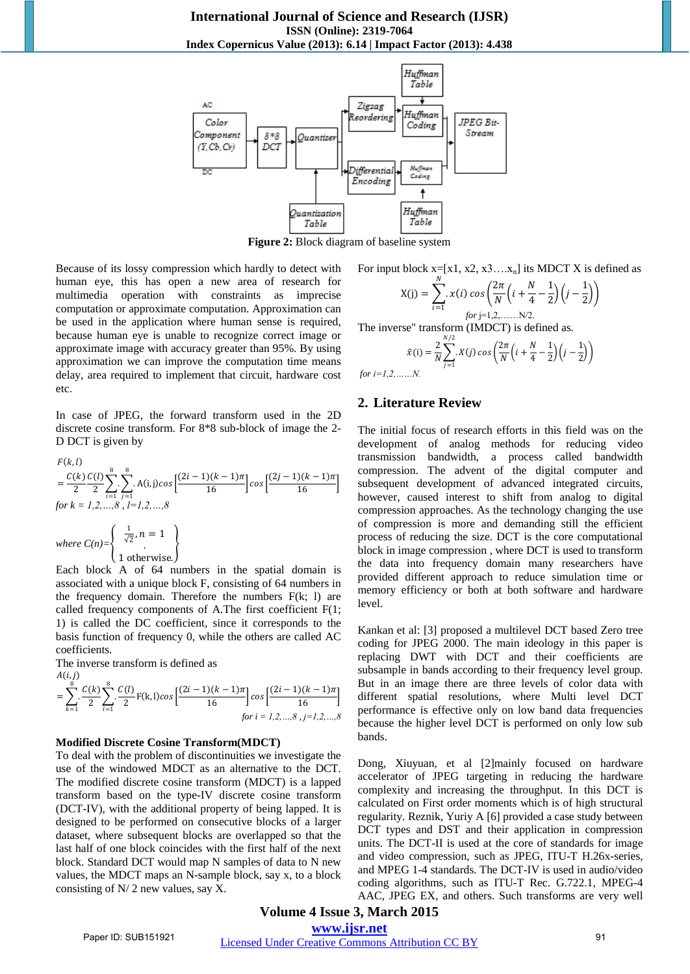

**Figure 2:** Block diagram of baseline system

Because of its lossy compression which hardly to detect with human eye, this has open a new area of research for multimedia operation with constraints as imprecise computation or approximate computation. Approximation can be used in the application where human sense is required, because human eye is unable to recognize correct image or approximate image with accuracy greater than 95%. By using approximation we can improve the computation time means delay, area required to implement that circuit, hardware cost etc.

In case of JPEG, the forward transform used in the 2D discrete cosine transform. For 8\*8 sub-block of image the 2- D DCT is given by

$$
F(k, l)
$$
\n
$$
= \frac{C(k)}{2} \sum_{i=1}^{8} \sum_{j=1}^{8} A(i,j) \cos \left[ \frac{(2i-1)(k-1)\pi}{16} \right] \cos \left[ \frac{(2j-1)(k-1)\pi}{16} \right]
$$
\nfor  $k = 1, 2, ..., 8$ ,  $l = 1, 2, ..., 8$ \nwhere  $C(n) = \begin{cases} \frac{1}{\sqrt{2}}, n = 1 \\ 1 \text{ otherwise.} \end{cases}$ 

Each block A of 64 numbers in the spatial domain is associated with a unique block F, consisting of 64 numbers in the frequency domain. Therefore the numbers  $F(k; 1)$  are called frequency components of A*.*The first coefficient F(1; 1) is called the DC coefficient, since it corresponds to the basis function of frequency 0, while the others are called AC coefficients.

The inverse transform is defined as

$$
A(i,j) = \sum_{k=1}^{8} \frac{C(k)}{2} \sum_{l=1}^{8} \frac{C(l)}{2} F(k,l) \cos \left[ \frac{(2i-1)(k-1)\pi}{16} \right] \cos \left[ \frac{(2i-1)(k-1)\pi}{16} \right]
$$
  
for i = 1,2,...,8, j=1,2,...,8

#### **Modified Discrete Cosine Transform(MDCT)**

To deal with the problem of discontinuities we investigate the use of the windowed MDCT as an alternative to the DCT. The modified discrete cosine transform (MDCT) is a lapped transform based on the type-IV discrete cosine transform (DCT-IV), with the additional property of being lapped. It is designed to be performed on consecutive blocks of a larger dataset, where subsequent blocks are overlapped so that the last half of one block coincides with the first half of the next block. Standard DCT would map N samples of data to N new values, the MDCT maps an N-sample block, say x, to a block consisting of N/ 2 new values, say X.

For input block x=[x1, x2, x3....x<sub>n</sub>] its MDCT X is defined as  
\n
$$
X(j) = \sum_{i=1}^{N} x(i) \cos \left( \frac{2\pi}{N} \left( i + \frac{N}{4} - \frac{1}{2} \right) \left( j - \frac{1}{2} \right) \right)
$$
\nfor j=1,2,......N/2.

The inverse" transform (IMDCT) is defined as.

$$
\hat{x}(i) = \frac{2}{N} \sum_{j=1}^{N/2} X(j) \cos \left( \frac{2\pi}{N} \left( i + \frac{N}{4} - \frac{1}{2} \right) \left( j - \frac{1}{2} \right) \right)
$$

 *for i=1,2,……N.*

#### **2. Literature Review**

The initial focus of research efforts in this field was on the development of analog methods for reducing video transmission bandwidth, a process called bandwidth compression. The advent of the digital computer and subsequent development of advanced integrated circuits, however, caused interest to shift from analog to digital compression approaches. As the technology changing the use of compression is more and demanding still the efficient process of reducing the size. DCT is the core computational block in image compression , where DCT is used to transform the data into frequency domain many researchers have provided different approach to reduce simulation time or memory efficiency or both at both software and hardware level.

Kankan et al: [3] proposed a multilevel DCT based Zero tree coding for JPEG 2000. The main ideology in this paper is replacing DWT with DCT and their coefficients are subsample in bands according to their frequency level group. But in an image there are three levels of color data with different spatial resolutions, where Multi level DCT performance is effective only on low band data frequencies because the higher level DCT is performed on only low sub bands.

Dong, Xiuyuan, et al [2]mainly focused on hardware accelerator of JPEG targeting in reducing the hardware complexity and increasing the throughput. In this DCT is calculated on First order moments which is of high structural regularity. Reznik, Yuriy A [6] provided a case study between DCT types and DST and their application in compression units. The DCT-II is used at the core of standards for image and video compression, such as JPEG, ITU-T H.26x-series, and MPEG 1-4 standards. The DCT-IV is used in audio/video coding algorithms, such as ITU-T Rec. G.722.1, MPEG-4 AAC, JPEG EX, and others. Such transforms are very well

**Volume 4 Issue 3, March 2015 www.ijsr.net**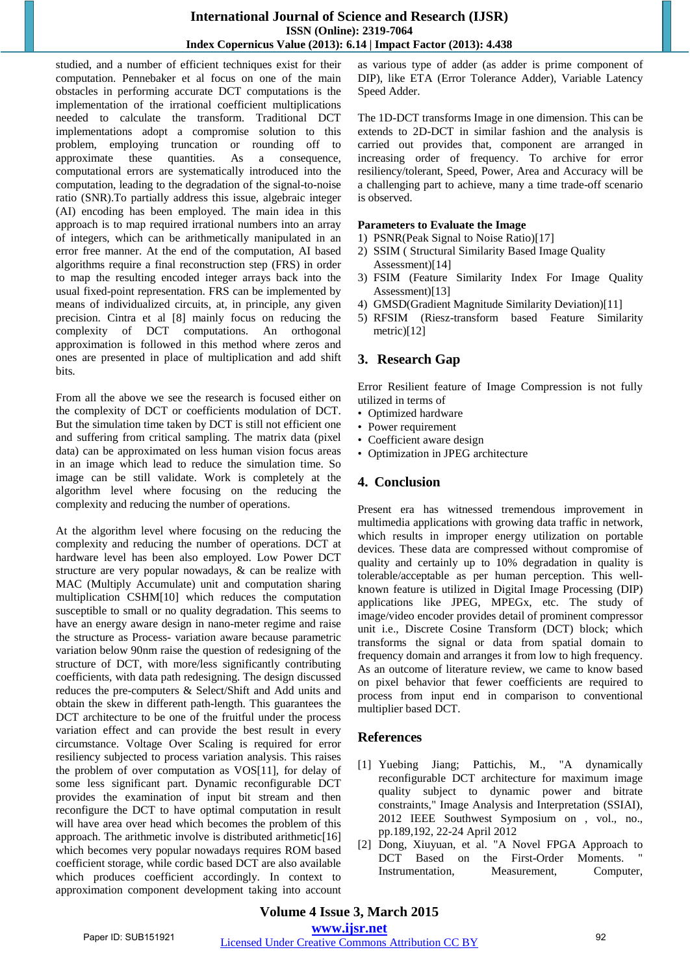### **International Journal of Science and Research (IJSR) ISSN (Online): 2319-7064 Index Copernicus Value (2013): 6.14 | Impact Factor (2013): 4.438**

studied, and a number of efficient techniques exist for their computation. Pennebaker et al focus on one of the main obstacles in performing accurate DCT computations is the implementation of the irrational coefficient multiplications needed to calculate the transform. Traditional DCT implementations adopt a compromise solution to this problem, employing truncation or rounding off to approximate these quantities. As a consequence, computational errors are systematically introduced into the computation, leading to the degradation of the signal-to-noise ratio (SNR).To partially address this issue, algebraic integer (AI) encoding has been employed. The main idea in this approach is to map required irrational numbers into an array of integers, which can be arithmetically manipulated in an error free manner. At the end of the computation, AI based algorithms require a final reconstruction step (FRS) in order to map the resulting encoded integer arrays back into the usual fixed-point representation. FRS can be implemented by means of individualized circuits, at, in principle, any given precision. Cintra et al [8] mainly focus on reducing the complexity of DCT computations. An orthogonal approximation is followed in this method where zeros and ones are presented in place of multiplication and add shift bits.

From all the above we see the research is focused either on the complexity of DCT or coefficients modulation of DCT. But the simulation time taken by DCT is still not efficient one and suffering from critical sampling. The matrix data (pixel data) can be approximated on less human vision focus areas in an image which lead to reduce the simulation time. So image can be still validate. Work is completely at the algorithm level where focusing on the reducing the complexity and reducing the number of operations.

At the algorithm level where focusing on the reducing the complexity and reducing the number of operations. DCT at hardware level has been also employed. Low Power DCT structure are very popular nowadays, & can be realize with MAC (Multiply Accumulate) unit and computation sharing multiplication CSHM[10] which reduces the computation susceptible to small or no quality degradation. This seems to have an energy aware design in nano-meter regime and raise the structure as Process- variation aware because parametric variation below 90nm raise the question of redesigning of the structure of DCT, with more/less significantly contributing coefficients, with data path redesigning. The design discussed reduces the pre-computers & Select/Shift and Add units and obtain the skew in different path-length. This guarantees the DCT architecture to be one of the fruitful under the process variation effect and can provide the best result in every circumstance. Voltage Over Scaling is required for error resiliency subjected to process variation analysis. This raises the problem of over computation as VOS[11], for delay of some less significant part. Dynamic reconfigurable DCT provides the examination of input bit stream and then reconfigure the DCT to have optimal computation in result will have area over head which becomes the problem of this approach. The arithmetic involve is distributed arithmetic[16] which becomes very popular nowadays requires ROM based coefficient storage, while cordic based DCT are also available which produces coefficient accordingly. In context to approximation component development taking into account as various type of adder (as adder is prime component of DIP), like ETA (Error Tolerance Adder), Variable Latency Speed Adder.

The 1D-DCT transforms Image in one dimension. This can be extends to 2D-DCT in similar fashion and the analysis is carried out provides that, component are arranged in increasing order of frequency. To archive for error resiliency/tolerant, Speed, Power, Area and Accuracy will be a challenging part to achieve, many a time trade-off scenario is observed.

#### **Parameters to Evaluate the Image**

- 1) PSNR(Peak Signal to Noise Ratio)[17]
- 2) SSIM ( Structural Similarity Based Image Quality Assessment)[14]
- 3) FSIM (Feature Similarity Index For Image Quality Assessment)[13]
- 4) GMSD(Gradient Magnitude Similarity Deviation)[11]
- 5) RFSIM (Riesz-transform based Feature Similarity metric)[12]

## **3. Research Gap**

Error Resilient feature of Image Compression is not fully utilized in terms of

- Optimized hardware
- Power requirement
- Coefficient aware design
- Optimization in JPEG architecture

## **4. Conclusion**

Present era has witnessed tremendous improvement in multimedia applications with growing data traffic in network, which results in improper energy utilization on portable devices. These data are compressed without compromise of quality and certainly up to 10% degradation in quality is tolerable/acceptable as per human perception. This wellknown feature is utilized in Digital Image Processing (DIP) applications like JPEG, MPEGx, etc. The study of image/video encoder provides detail of prominent compressor unit i.e., Discrete Cosine Transform (DCT) block; which transforms the signal or data from spatial domain to frequency domain and arranges it from low to high frequency. As an outcome of literature review, we came to know based on pixel behavior that fewer coefficients are required to process from input end in comparison to conventional multiplier based DCT.

### **References**

- [1] Yuebing Jiang; Pattichis, M., "A dynamically reconfigurable DCT architecture for maximum image quality subject to dynamic power and bitrate constraints," Image Analysis and Interpretation (SSIAI), 2012 IEEE Southwest Symposium on , vol., no., pp.189,192, 22-24 April 2012
- [2] Dong, Xiuyuan, et al. "A Novel FPGA Approach to DCT Based on the First-Order Moments. Instrumentation, Measurement, Computer,